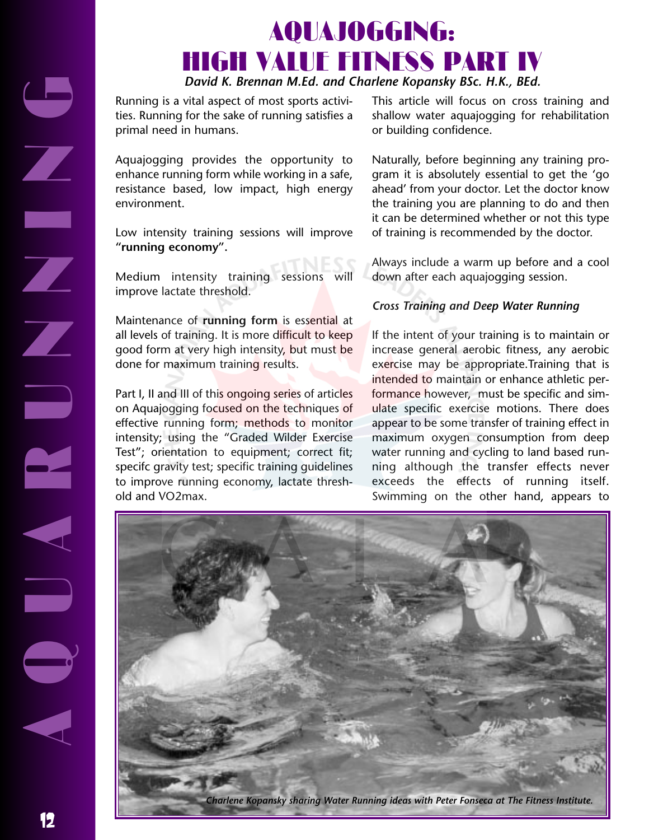

Running is a vital aspect of most sports activities. Running for the sake of running satisfies a primal need in humans.

Aquajogging provides the opportunity to enhance running form while working in a safe, resistance based, low impact, high energy environment.

Low intensity training sessions will improve **"running economy".**

Medium intensity training sessions will improve lactate threshold.

Maintenance of **running form** is essential at all levels of training. It is more difficult to keep good form at very high intensity, but must be done for maximum training results.

Part I, II and III of this ongoing series of articles on Aquajogging focused on the techniques of effective running form; methods to monitor intensity; using the "Graded Wilder Exercise Test"; orientation to equipment; correct fit; specifc gravity test; specific training guidelines to improve running economy, lactate threshold and VO2max.

This article will focus on cross training and shallow water aquajogging for rehabilitation or building confidence.

Naturally, before beginning any training program it is absolutely essential to get the 'go ahead' from your doctor. Let the doctor know the training you are planning to do and then it can be determined whether or not this type of training is recommended by the doctor.

Always include a warm up before and a cool down after each aquajogging session.

# *Cross Training and Deep Water Running*

If the intent of your training is to maintain or increase general aerobic fitness, any aerobic exercise may be appropriate. Training that is intended to maintain or enhance athletic performance however, must be specific and simulate specific exercise motions. There does appear to be some transfer of training effect in maximum oxygen consumption from deep water running and cycling to land based running although the transfer effects never exceeds the effects of running itself. Swimming on the other hand, appears to



Z

Z

Z

an<br>111